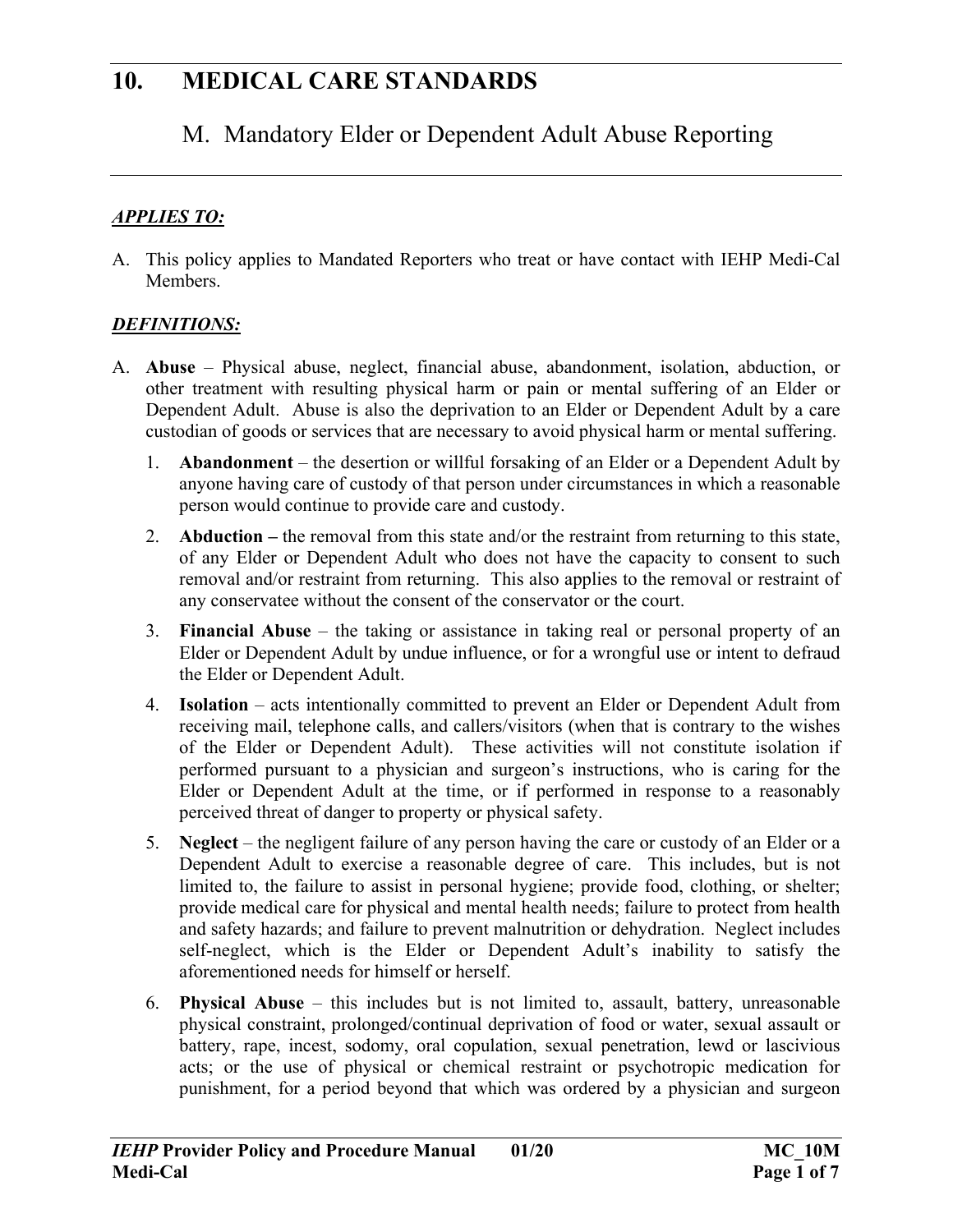### M. Mandatory Elder or Dependent Adult Abuse Reporting

#### *APPLIES TO:*

A. This policy applies to Mandated Reporters who treat or have contact with IEHP Medi-Cal **Members** 

#### *DEFINITIONS:*

- A. **Abuse** Physical abuse, neglect, financial abuse, abandonment, isolation, abduction, or other treatment with resulting physical harm or pain or mental suffering of an Elder or Dependent Adult. Abuse is also the deprivation to an Elder or Dependent Adult by a care custodian of goods or services that are necessary to avoid physical harm or mental suffering.
	- 1. **Abandonment** the desertion or willful forsaking of an Elder or a Dependent Adult by anyone having care of custody of that person under circumstances in which a reasonable person would continue to provide care and custody.
	- 2. **Abduction** the removal from this state and/or the restraint from returning to this state, of any Elder or Dependent Adult who does not have the capacity to consent to such removal and/or restraint from returning. This also applies to the removal or restraint of any conservatee without the consent of the conservator or the court.
	- 3. **Financial Abuse** the taking or assistance in taking real or personal property of an Elder or Dependent Adult by undue influence, or for a wrongful use or intent to defraud the Elder or Dependent Adult.
	- 4. **Isolation**  acts intentionally committed to prevent an Elder or Dependent Adult from receiving mail, telephone calls, and callers/visitors (when that is contrary to the wishes of the Elder or Dependent Adult). These activities will not constitute isolation if performed pursuant to a physician and surgeon's instructions, who is caring for the Elder or Dependent Adult at the time, or if performed in response to a reasonably perceived threat of danger to property or physical safety.
	- 5. **Neglect**  the negligent failure of any person having the care or custody of an Elder or a Dependent Adult to exercise a reasonable degree of care. This includes, but is not limited to, the failure to assist in personal hygiene; provide food, clothing, or shelter; provide medical care for physical and mental health needs; failure to protect from health and safety hazards; and failure to prevent malnutrition or dehydration. Neglect includes self-neglect, which is the Elder or Dependent Adult's inability to satisfy the aforementioned needs for himself or herself.
	- 6. **Physical Abuse**  this includes but is not limited to, assault, battery, unreasonable physical constraint, prolonged/continual deprivation of food or water, sexual assault or battery, rape, incest, sodomy, oral copulation, sexual penetration, lewd or lascivious acts; or the use of physical or chemical restraint or psychotropic medication for punishment, for a period beyond that which was ordered by a physician and surgeon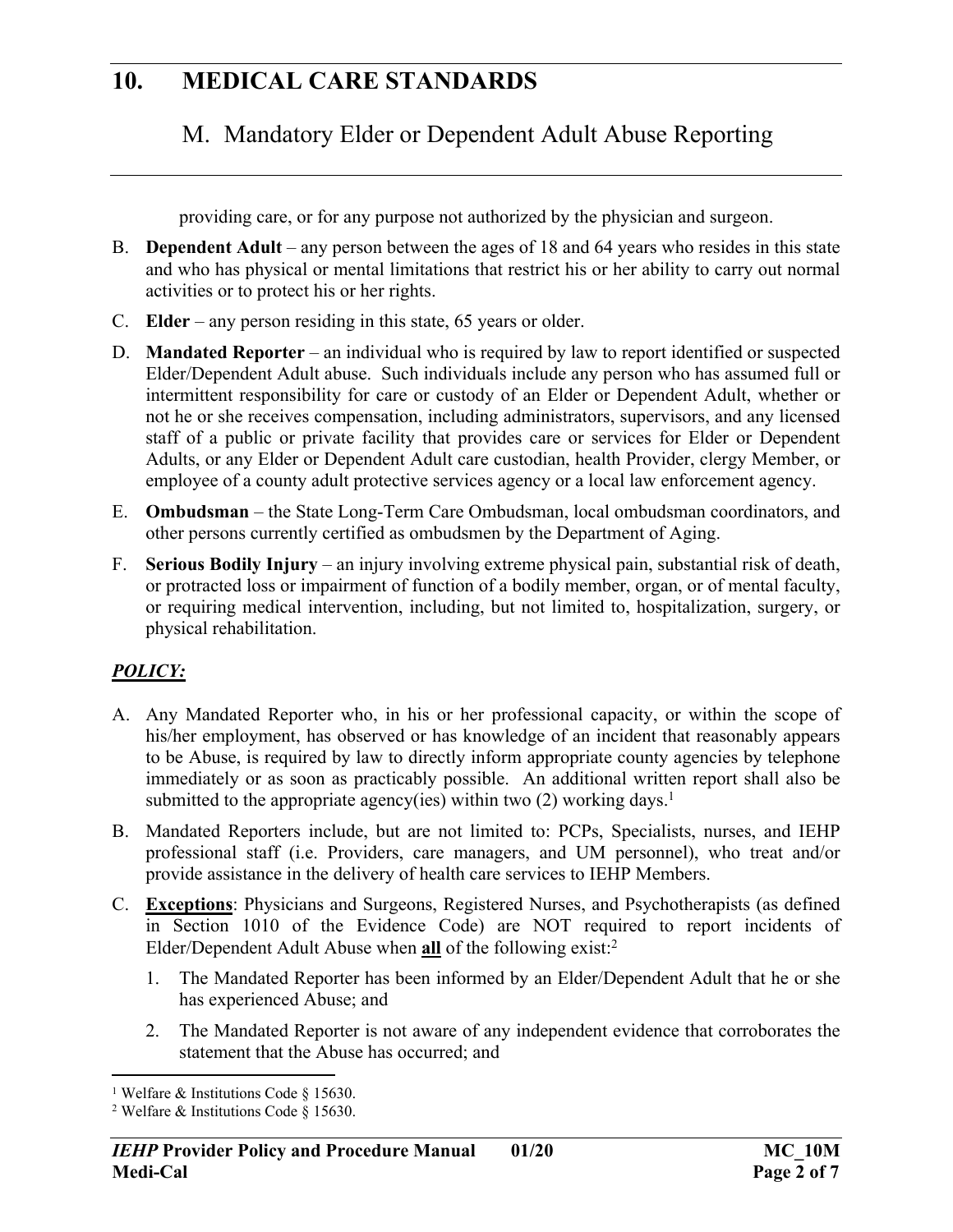### M. Mandatory Elder or Dependent Adult Abuse Reporting

providing care, or for any purpose not authorized by the physician and surgeon.

- B. **Dependent Adult** any person between the ages of 18 and 64 years who resides in this state and who has physical or mental limitations that restrict his or her ability to carry out normal activities or to protect his or her rights.
- C. **Elder**  any person residing in this state, 65 years or older.
- D. **Mandated Reporter** an individual who is required by law to report identified or suspected Elder/Dependent Adult abuse. Such individuals include any person who has assumed full or intermittent responsibility for care or custody of an Elder or Dependent Adult, whether or not he or she receives compensation, including administrators, supervisors, and any licensed staff of a public or private facility that provides care or services for Elder or Dependent Adults, or any Elder or Dependent Adult care custodian, health Provider, clergy Member, or employee of a county adult protective services agency or a local law enforcement agency.
- E. **Ombudsman** the State Long-Term Care Ombudsman, local ombudsman coordinators, and other persons currently certified as ombudsmen by the Department of Aging.
- F. **Serious Bodily Injury**  an injury involving extreme physical pain, substantial risk of death, or protracted loss or impairment of function of a bodily member, organ, or of mental faculty, or requiring medical intervention, including, but not limited to, hospitalization, surgery, or physical rehabilitation.

#### *POLICY:*

- A. Any Mandated Reporter who, in his or her professional capacity, or within the scope of his/her employment, has observed or has knowledge of an incident that reasonably appears to be Abuse, is required by law to directly inform appropriate county agencies by telephone immediately or as soon as practicably possible. An additional written report shall also be submitted to the appropriate agency(ies) within two  $(2)$  working days.<sup>1</sup>
- B. Mandated Reporters include, but are not limited to: PCPs, Specialists, nurses, and IEHP professional staff (i.e. Providers, care managers, and UM personnel), who treat and/or provide assistance in the delivery of health care services to IEHP Members.
- C. **Exceptions**: Physicians and Surgeons, Registered Nurses, and Psychotherapists (as defined in Section 1010 of the Evidence Code) are NOT required to report incidents of Elder/Dependent Adult Abuse when **all** of the following exist:<sup>2</sup>
	- 1. The Mandated Reporter has been informed by an Elder/Dependent Adult that he or she has experienced Abuse; and
	- 2. The Mandated Reporter is not aware of any independent evidence that corroborates the statement that the Abuse has occurred; and

<sup>&</sup>lt;sup>1</sup> Welfare & Institutions Code § 15630.

<sup>2</sup> Welfare & Institutions Code § 15630.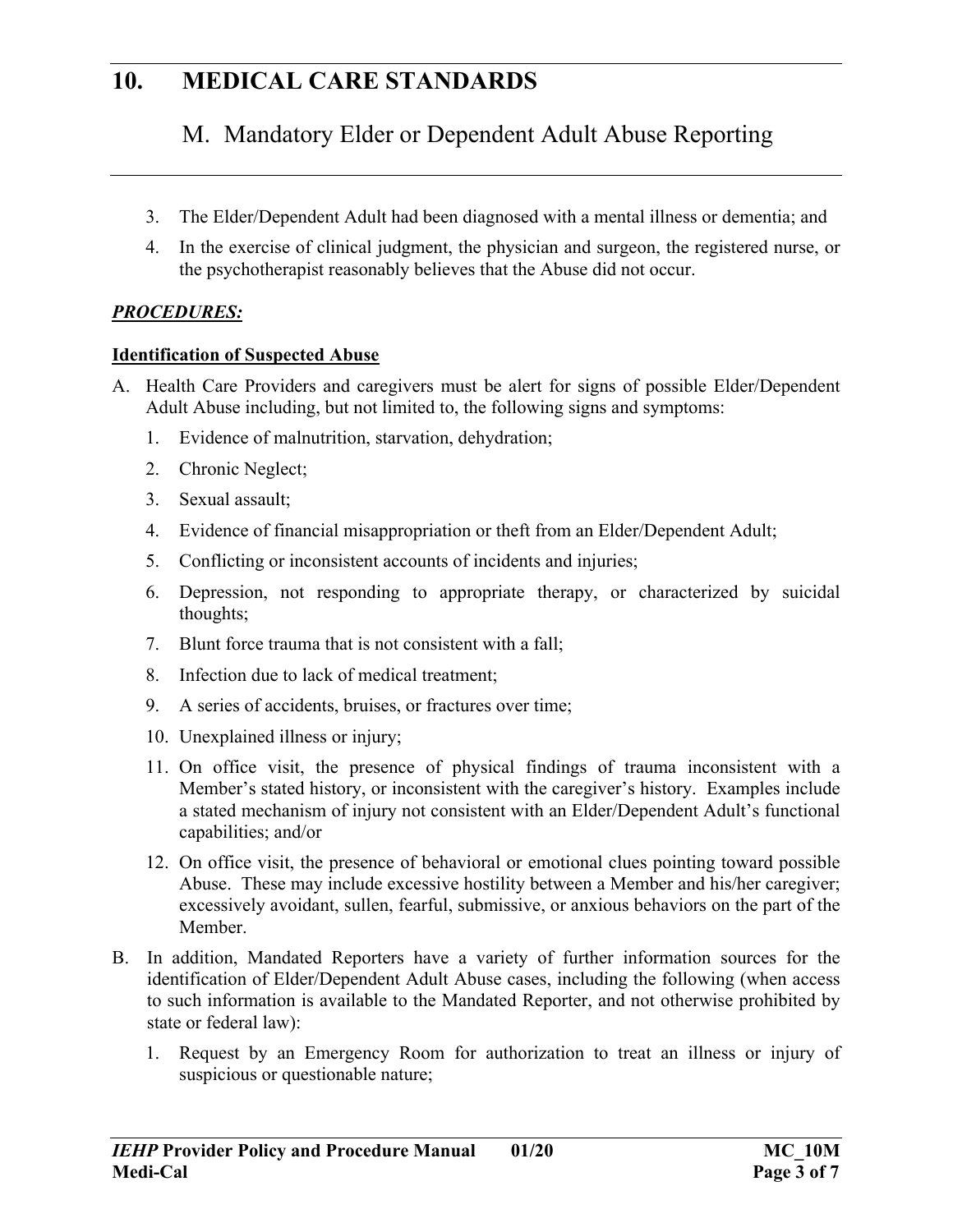# M. Mandatory Elder or Dependent Adult Abuse Reporting

- 3. The Elder/Dependent Adult had been diagnosed with a mental illness or dementia; and
- 4. In the exercise of clinical judgment, the physician and surgeon, the registered nurse, or the psychotherapist reasonably believes that the Abuse did not occur.

### *PROCEDURES:*

#### **Identification of Suspected Abuse**

- A. Health Care Providers and caregivers must be alert for signs of possible Elder/Dependent Adult Abuse including, but not limited to, the following signs and symptoms:
	- 1. Evidence of malnutrition, starvation, dehydration;
	- 2. Chronic Neglect;
	- 3. Sexual assault;
	- 4. Evidence of financial misappropriation or theft from an Elder/Dependent Adult;
	- 5. Conflicting or inconsistent accounts of incidents and injuries;
	- 6. Depression, not responding to appropriate therapy, or characterized by suicidal thoughts;
	- 7. Blunt force trauma that is not consistent with a fall;
	- 8. Infection due to lack of medical treatment;
	- 9. A series of accidents, bruises, or fractures over time;
	- 10. Unexplained illness or injury;
	- 11. On office visit, the presence of physical findings of trauma inconsistent with a Member's stated history, or inconsistent with the caregiver's history. Examples include a stated mechanism of injury not consistent with an Elder/Dependent Adult's functional capabilities; and/or
	- 12. On office visit, the presence of behavioral or emotional clues pointing toward possible Abuse. These may include excessive hostility between a Member and his/her caregiver; excessively avoidant, sullen, fearful, submissive, or anxious behaviors on the part of the Member.
- B. In addition, Mandated Reporters have a variety of further information sources for the identification of Elder/Dependent Adult Abuse cases, including the following (when access to such information is available to the Mandated Reporter, and not otherwise prohibited by state or federal law):
	- 1. Request by an Emergency Room for authorization to treat an illness or injury of suspicious or questionable nature;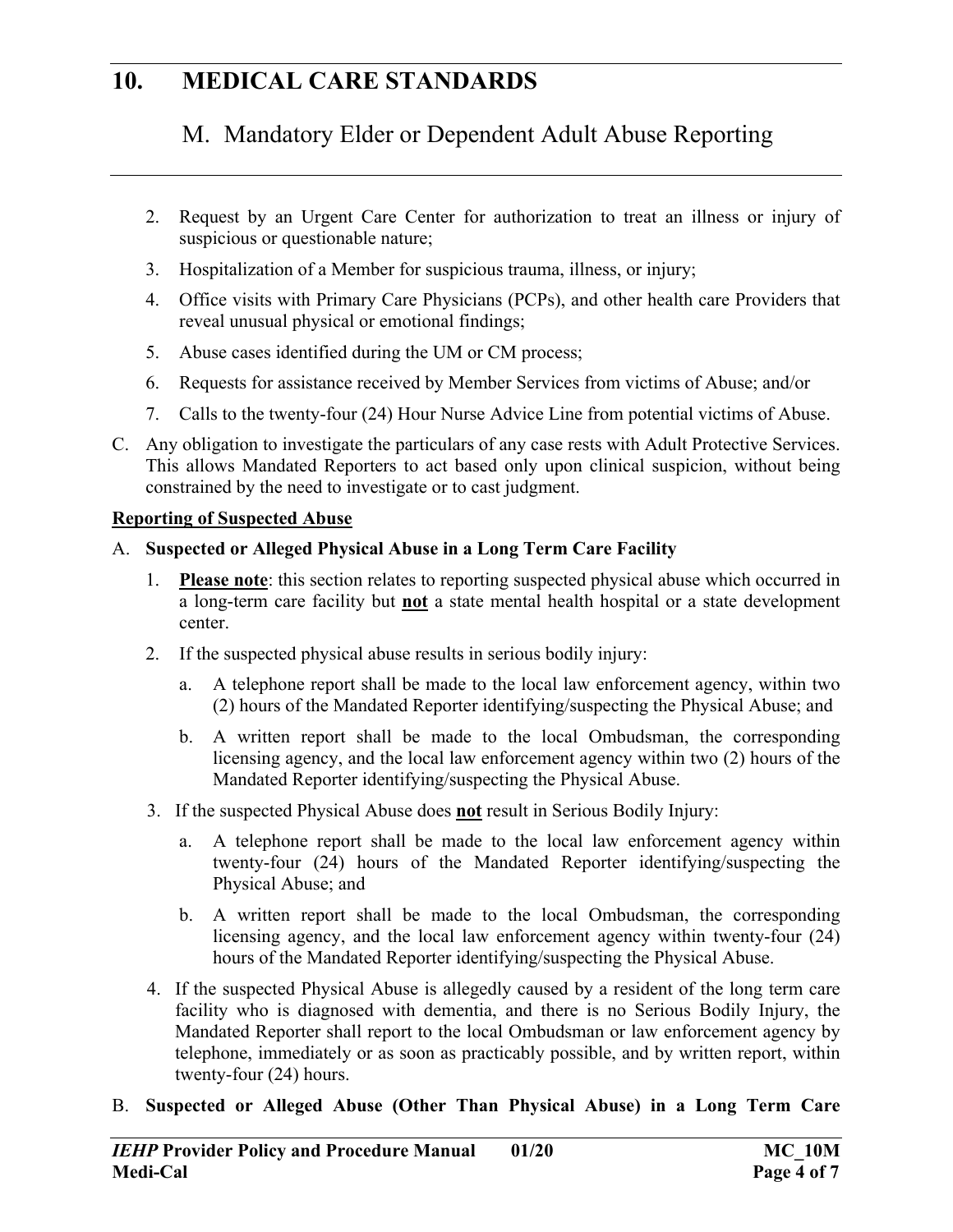# M. Mandatory Elder or Dependent Adult Abuse Reporting

- 2. Request by an Urgent Care Center for authorization to treat an illness or injury of suspicious or questionable nature;
- 3. Hospitalization of a Member for suspicious trauma, illness, or injury;
- 4. Office visits with Primary Care Physicians (PCPs), and other health care Providers that reveal unusual physical or emotional findings;
- 5. Abuse cases identified during the UM or CM process;
- 6. Requests for assistance received by Member Services from victims of Abuse; and/or
- 7. Calls to the twenty-four (24) Hour Nurse Advice Line from potential victims of Abuse.
- C. Any obligation to investigate the particulars of any case rests with Adult Protective Services. This allows Mandated Reporters to act based only upon clinical suspicion, without being constrained by the need to investigate or to cast judgment.

#### **Reporting of Suspected Abuse**

#### A. **Suspected or Alleged Physical Abuse in a Long Term Care Facility**

- 1. **Please note**: this section relates to reporting suspected physical abuse which occurred in a long-term care facility but **not** a state mental health hospital or a state development center.
- 2. If the suspected physical abuse results in serious bodily injury:
	- a. A telephone report shall be made to the local law enforcement agency, within two (2) hours of the Mandated Reporter identifying/suspecting the Physical Abuse; and
	- b. A written report shall be made to the local Ombudsman, the corresponding licensing agency, and the local law enforcement agency within two (2) hours of the Mandated Reporter identifying/suspecting the Physical Abuse.
- 3. If the suspected Physical Abuse does **not** result in Serious Bodily Injury:
	- a. A telephone report shall be made to the local law enforcement agency within twenty-four (24) hours of the Mandated Reporter identifying/suspecting the Physical Abuse; and
	- b. A written report shall be made to the local Ombudsman, the corresponding licensing agency, and the local law enforcement agency within twenty-four (24) hours of the Mandated Reporter identifying/suspecting the Physical Abuse.
- 4. If the suspected Physical Abuse is allegedly caused by a resident of the long term care facility who is diagnosed with dementia, and there is no Serious Bodily Injury, the Mandated Reporter shall report to the local Ombudsman or law enforcement agency by telephone, immediately or as soon as practicably possible, and by written report, within twenty-four (24) hours.
- B. **Suspected or Alleged Abuse (Other Than Physical Abuse) in a Long Term Care**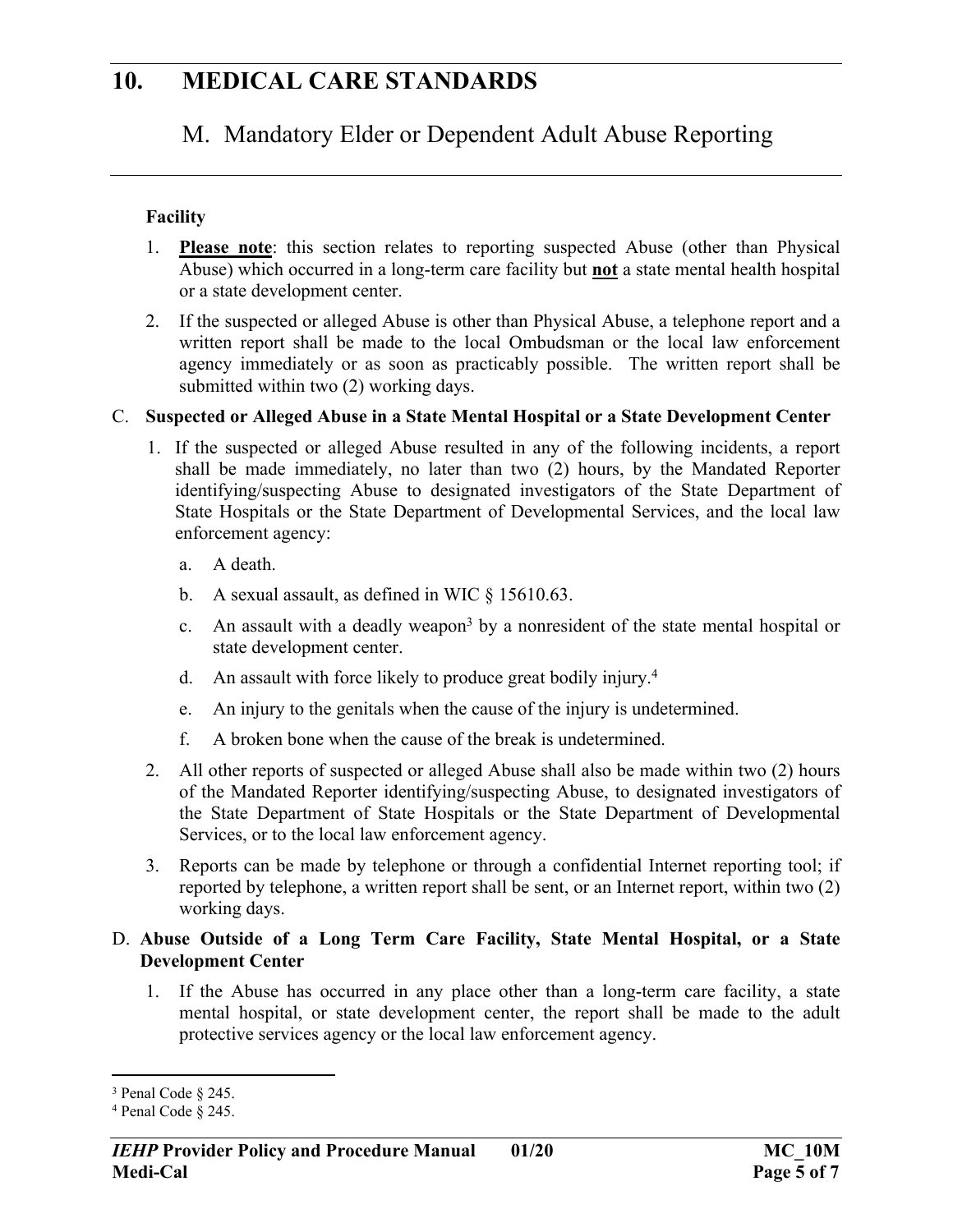### M. Mandatory Elder or Dependent Adult Abuse Reporting

#### **Facility**

- 1. **Please note**: this section relates to reporting suspected Abuse (other than Physical Abuse) which occurred in a long-term care facility but **not** a state mental health hospital or a state development center.
- 2. If the suspected or alleged Abuse is other than Physical Abuse, a telephone report and a written report shall be made to the local Ombudsman or the local law enforcement agency immediately or as soon as practicably possible. The written report shall be submitted within two (2) working days.

#### C. **Suspected or Alleged Abuse in a State Mental Hospital or a State Development Center**

- 1. If the suspected or alleged Abuse resulted in any of the following incidents, a report shall be made immediately, no later than two (2) hours, by the Mandated Reporter identifying/suspecting Abuse to designated investigators of the State Department of State Hospitals or the State Department of Developmental Services, and the local law enforcement agency:
	- a. A death.
	- b. A sexual assault, as defined in WIC § 15610.63.
	- c. An assault with a deadly weapon<sup>3</sup> by a nonresident of the state mental hospital or state development center.
	- d. An assault with force likely to produce great bodily injury.<sup>4</sup>
	- e. An injury to the genitals when the cause of the injury is undetermined.
	- f. A broken bone when the cause of the break is undetermined.
- 2. All other reports of suspected or alleged Abuse shall also be made within two (2) hours of the Mandated Reporter identifying/suspecting Abuse, to designated investigators of the State Department of State Hospitals or the State Department of Developmental Services, or to the local law enforcement agency.
- 3. Reports can be made by telephone or through a confidential Internet reporting tool; if reported by telephone, a written report shall be sent, or an Internet report, within two (2) working days.

#### D. **Abuse Outside of a Long Term Care Facility, State Mental Hospital, or a State Development Center**

1. If the Abuse has occurred in any place other than a long-term care facility, a state mental hospital, or state development center, the report shall be made to the adult protective services agency or the local law enforcement agency.

<sup>&</sup>lt;sup>3</sup> Penal Code § 245.

<sup>4</sup> Penal Code § 245.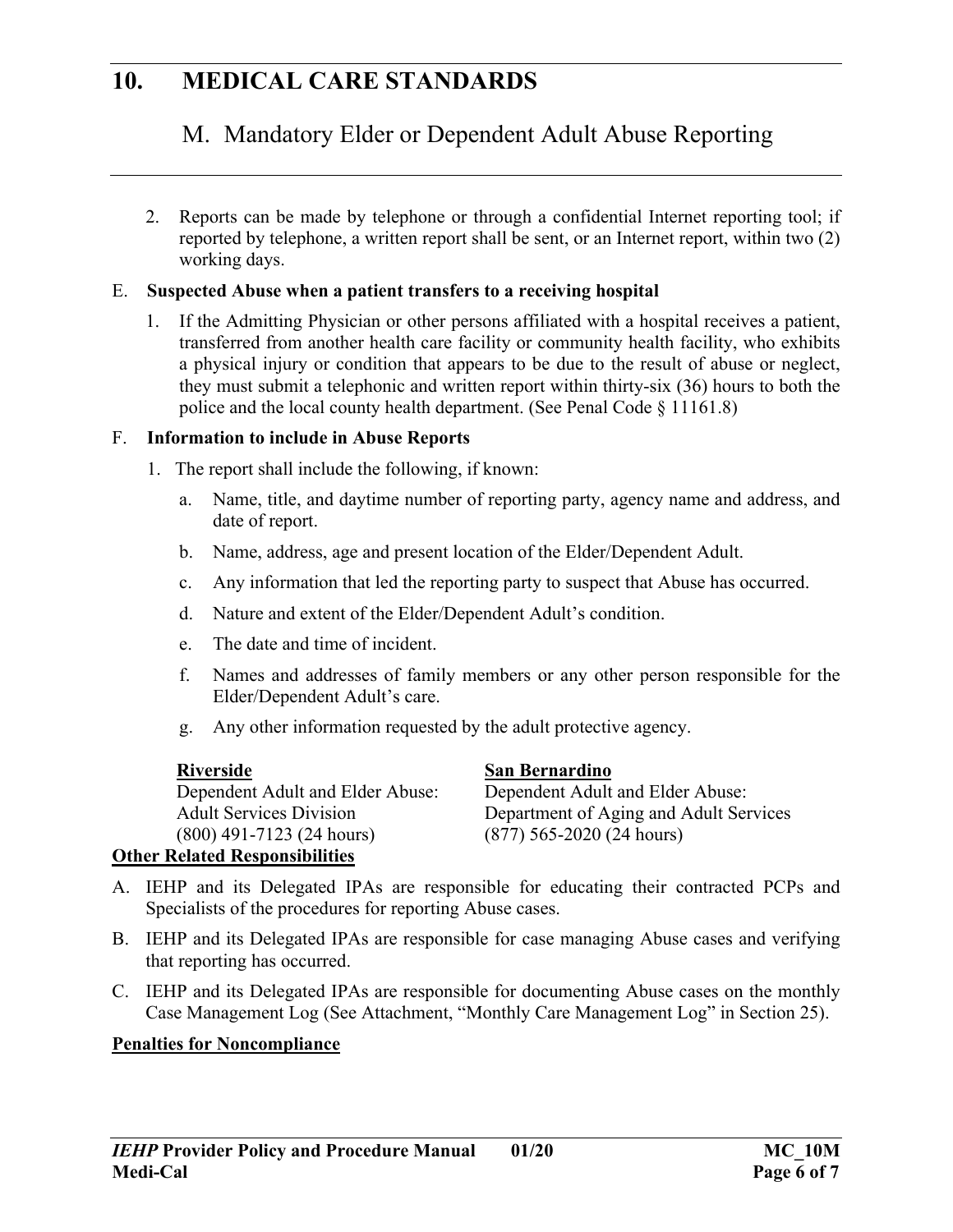# M. Mandatory Elder or Dependent Adult Abuse Reporting

2. Reports can be made by telephone or through a confidential Internet reporting tool; if reported by telephone, a written report shall be sent, or an Internet report, within two (2) working days.

#### E. **Suspected Abuse when a patient transfers to a receiving hospital**

1. If the Admitting Physician or other persons affiliated with a hospital receives a patient, transferred from another health care facility or community health facility, who exhibits a physical injury or condition that appears to be due to the result of abuse or neglect, they must submit a telephonic and written report within thirty-six (36) hours to both the police and the local county health department. (See Penal Code § 11161.8)

#### F. **Information to include in Abuse Reports**

- 1. The report shall include the following, if known:
	- a. Name, title, and daytime number of reporting party, agency name and address, and date of report.
	- b. Name, address, age and present location of the Elder/Dependent Adult.
	- c. Any information that led the reporting party to suspect that Abuse has occurred.
	- d. Nature and extent of the Elder/Dependent Adult's condition.
	- e. The date and time of incident.
	- f. Names and addresses of family members or any other person responsible for the Elder/Dependent Adult's care.
	- g. Any other information requested by the adult protective agency.

| Riverside                        | San Bernardino                         |
|----------------------------------|----------------------------------------|
| Dependent Adult and Elder Abuse: | Dependent Adult and Elder Abuse:       |
| <b>Adult Services Division</b>   | Department of Aging and Adult Services |
| $(800)$ 491-7123 (24 hours)      | $(877)$ 565-2020 (24 hours)            |
|                                  |                                        |

#### **Other Related Responsibilities**

- A. IEHP and its Delegated IPAs are responsible for educating their contracted PCPs and Specialists of the procedures for reporting Abuse cases.
- B. IEHP and its Delegated IPAs are responsible for case managing Abuse cases and verifying that reporting has occurred.
- C. IEHP and its Delegated IPAs are responsible for documenting Abuse cases on the monthly Case Management Log (See Attachment, "Monthly Care Management Log" in Section 25).

#### **Penalties for Noncompliance**